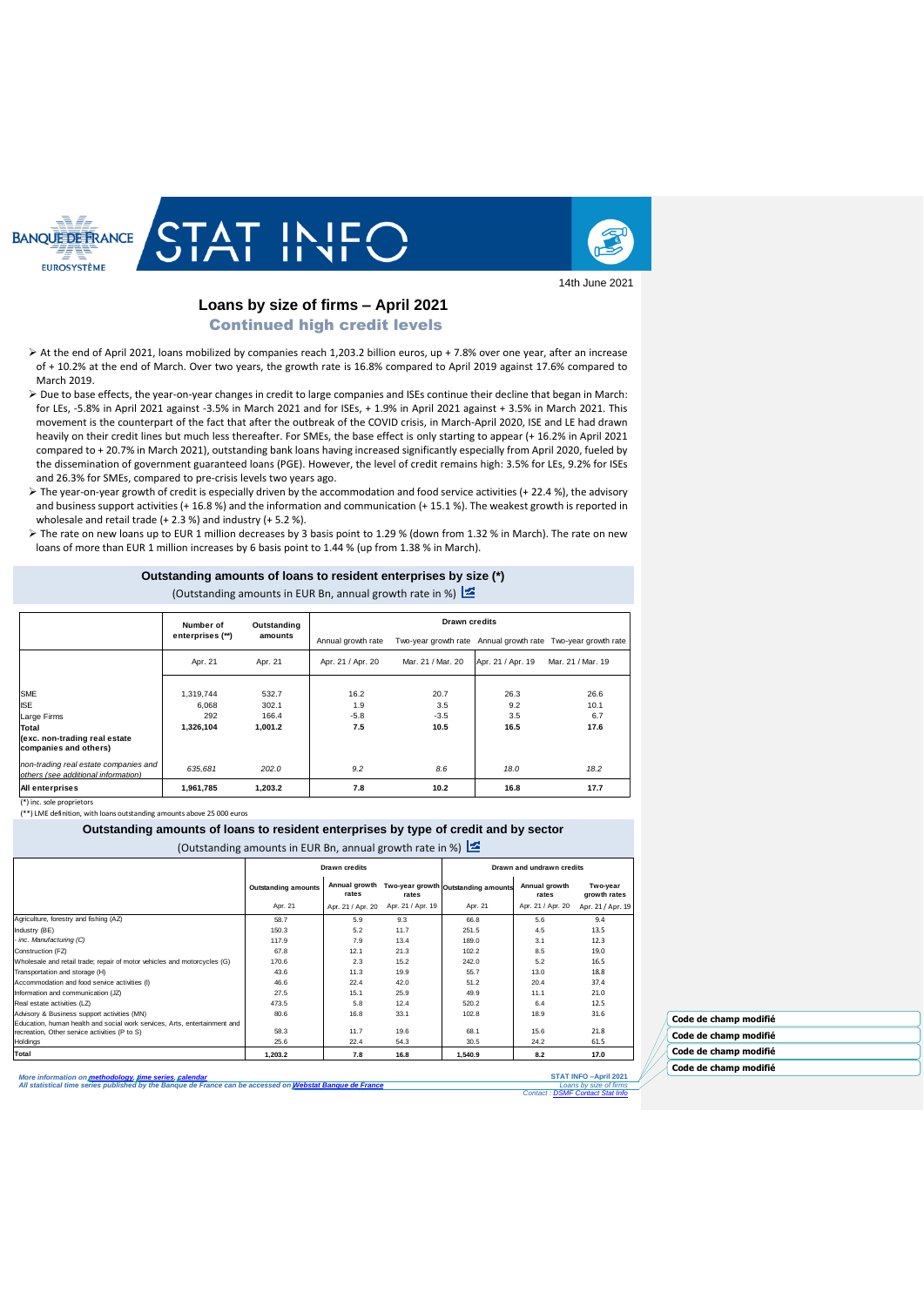



14th June 2021

# **Loans by size of firms – April 2021**

Continued high credit levels

- At the end of April 2021, loans mobilized by companies reach 1,203.2 billion euros, up + 7.8% over one year, after an increase of + 10.2% at the end of March. Over two years, the growth rate is 16.8% compared to April 2019 against 17.6% compared to March 2019.
- Due to base effects, the year-on-year changes in credit to large companies and ISEs continue their decline that began in March: for LEs, -5.8% in April 2021 against -3.5% in March 2021 and for ISEs, + 1.9% in April 2021 against + 3.5% in March 2021. This movement is the counterpart of the fact that after the outbreak of the COVID crisis, in March-April 2020, ISE and LE had drawn heavily on their credit lines but much less thereafter. For SMEs, the base effect is only starting to appear (+ 16.2% in April 2021 compared to + 20.7% in March 2021), outstanding bank loans having increased significantly especially from April 2020, fueled by the dissemination of government guaranteed loans (PGE). However, the level of credit remains high: 3.5% for LEs, 9.2% for ISEs and 26.3% for SMEs, compared to pre-crisis levels two years ago.
- The year-on-year growth of credit is especially driven by the accommodation and food service activities (+ 22.4 %), the advisory and business support activities (+ 16.8 %) and the information and communication (+ 15.1 %). The weakest growth is reported in wholesale and retail trade (+ 2.3 %) and industry (+ 5.2 %).
- The rate on new loans up to EUR 1 million decreases by 3 basis point to 1.29 % (down from 1.32 % in March). The rate on new loans of more than EUR 1 million increases by 6 basis point to 1.44 % (up from 1.38 % in March).

## **Outstanding amounts of loans to resident enterprises by size (\*)**

(Outstanding amounts in EUR Bn, annual growth rate in %)

|                                                                              | Number of        | Outstanding | <b>Drawn credits</b> |                   |                   |                                                              |  |
|------------------------------------------------------------------------------|------------------|-------------|----------------------|-------------------|-------------------|--------------------------------------------------------------|--|
|                                                                              | enterprises (**) | amounts     | Annual growth rate   |                   |                   | Two-year growth rate Annual growth rate Two-year growth rate |  |
|                                                                              | Apr. 21          | Apr. 21     | Apr. 21 / Apr. 20    | Mar. 21 / Mar. 20 | Apr. 21 / Apr. 19 | Mar. 21 / Mar. 19                                            |  |
|                                                                              |                  |             |                      |                   |                   |                                                              |  |
| <b>SME</b>                                                                   | 1.319.744        | 532.7       | 16.2                 | 20.7              | 26.3              | 26.6                                                         |  |
| <b>ISE</b>                                                                   | 6.068            | 302.1       | 1.9                  | 3.5               | 9.2               | 10.1                                                         |  |
| Large Firms                                                                  | 292              | 166.4       | $-5.8$               | $-3.5$            | 3.5               | 6.7                                                          |  |
| <b>Total</b>                                                                 | 1,326,104        | 1,001.2     | 7.5                  | 10.5              | 16.5              | 17.6                                                         |  |
| (exc. non-trading real estate<br>companies and others)                       |                  |             |                      |                   |                   |                                                              |  |
| non-trading real estate companies and<br>others (see additional information) | 635,681          | 202.0       | 9.2                  | 8.6               | 18.0              | 18.2                                                         |  |
| All enterprises                                                              | 1,961,785        | 1,203.2     | 7.8                  | 10.2              | 16.8              | 17.7                                                         |  |

(\*) inc. sole proprietors (\*\*) LME definition, with loans outstanding amounts above 25 000 euros

#### **Outstanding amounts of loans to resident enterprises by type of credit and by sector**

#### (Outstanding amounts in EUR Bn, annual growth rate in %)

|                                                                           | Drawn credits              |                   |                   | Drawn and undrawn credits                         |                        |                          |  |
|---------------------------------------------------------------------------|----------------------------|-------------------|-------------------|---------------------------------------------------|------------------------|--------------------------|--|
|                                                                           | <b>Outstanding amounts</b> | rates             | rates             | Annual growth Two-year growth Outstanding amounts | Annual growth<br>rates | Two-year<br>growth rates |  |
|                                                                           | Apr. 21                    | Apr. 21 / Apr. 20 | Apr. 21 / Apr. 19 | Apr. 21                                           | Apr. 21 / Apr. 20      | Apr. 21 / Apr. 19        |  |
| Agriculture, forestry and fishing (AZ)                                    | 58.7                       | 5.9               | 9.3               | 66.8                                              | 5.6                    | 9.4                      |  |
| Industry (BE)                                                             | 150.3                      | 5.2               | 11.7              | 251.5                                             | 4.5                    | 13.5                     |  |
| - inc. Manufacturing (C)                                                  | 117.9                      | 7.9               | 13.4              | 189.0                                             | 3.1                    | 12.3                     |  |
| Construction (FZ)                                                         | 67.8                       | 12.1              | 21.3              | 102.2                                             | 8.5                    | 19.0                     |  |
| Wholesale and retail trade; repair of motor vehicles and motorcycles (G)  | 170.6                      | 2.3               | 15.2              | 242.0                                             | 5.2                    | 16.5                     |  |
| Transportation and storage (H)                                            | 43.6                       | 11.3              | 19.9              | 55.7                                              | 13.0                   | 18.8                     |  |
| Accommodation and food service activities (I)                             | 46.6                       | 22.4              | 42.0              | 51.2                                              | 20.4                   | 37.4                     |  |
| Information and communication (JZ)                                        | 27.5                       | 15.1              | 25.9              | 49.9                                              | 11.1                   | 21.0                     |  |
| Real estate activities (LZ)                                               | 473.5                      | 5.8               | 12.4              | 520.2                                             | 6.4                    | 12.5                     |  |
| Advisory & Business support activities (MN)                               | 80.6                       | 16.8              | 33.1              | 102.8                                             | 18.9                   | 31.6                     |  |
| Education, human health and social work services, Arts, entertainment and |                            |                   |                   |                                                   |                        |                          |  |
| recreation, Other service activities (P to S)                             | 58.3                       | 11.7              | 19.6              | 68.1                                              | 15.6                   | 21.8                     |  |
| Holdings                                                                  | 25.6                       | 22.4              | 54.3              | 30.5                                              | 24.2                   | 61.5                     |  |
| Total                                                                     | 1.203.2                    | 7.8               | 16.8              | 1.540.9                                           | 8.2                    | 17.0                     |  |

*More information on [methodology,](https://www.banque-france.fr/search-es?term=methodologie) [time series,](http://webstat.banque-france.fr/fr/browse.do?node=5384952) [calendar](https://www.banque-france.fr/en/statistics/calendar) All statistical time series published by the Banque de France can be accessed on [Webstat Banque de France](http://webstat.banque-france.fr/en/)*

**STAT INFO –April 2021** *Loans by size of firms Contact [: DSMF Contact Stat Info](mailto:1415-CONTACTSI-UT@banque-france.fr?subject=[Support%20statistique]%20%20%20Credits%20%20aux%20SNF)*

**Code de champ modifié Code de champ modifié Code de champ modifié Code de champ modifié**